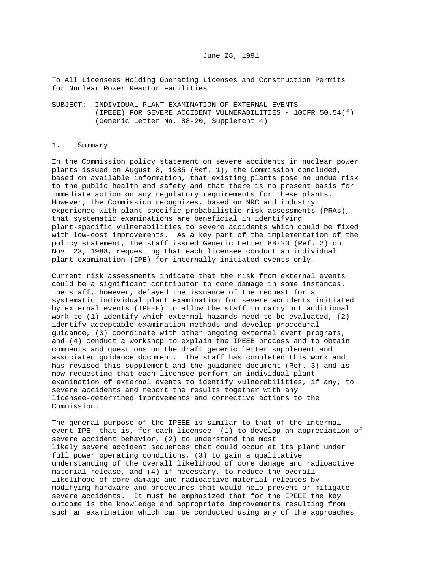To All Licensees Holding Operating Licenses and Construction Permits for Nuclear Power Reactor Facilities

SUBJECT: INDIVIDUAL PLANT EXAMINATION OF EXTERNAL EVENTS (IPEEE) FOR SEVERE ACCIDENT VULNERABILITIES -  $10$ CFR  $50.54(f)$ (Generic Letter No. 88-20, Supplement 4)

#### 1. Summary

In the Commission policy statement on severe accidents in nuclear power plants issued on August 8, 1985 (Ref. 1), the Commission concluded, based on available information, that existing plants pose no undue risk to the public health and safety and that there is no present basis for immediate action on any regulatory requirements for these plants. However, the Commission recognizes, based on NRC and industry experience with plant-specific probabilistic risk assessments (PRAs), that systematic examinations are beneficial in identifying plant-specific vulnerabilities to severe accidents which could be fixed with low-cost improvements. As a key part of the implementation of the policy statement, the staff issued Generic Letter 88-20 (Ref. 2) on Nov. 23, 1988, requesting that each licensee conduct an individual plant examination (IPE) for internally initiated events only.

Current risk assessments indicate that the risk from external events could be a significant contributor to core damage in some instances. The staff, however, delayed the issuance of the request for a systematic individual plant examination for severe accidents initiated by external events (IPEEE) to allow the staff to carry out additional work to (1) identify which external hazards need to be evaluated, (2) identify acceptable examination methods and develop procedural guidance, (3) coordinate with other ongoing external event programs, and (4) conduct a workshop to explain the IPEEE process and to obtain comments and questions on the draft generic letter supplement and associated guidance document. The staff has completed this work and has revised this supplement and the guidance document (Ref. 3) and is now requesting that each licensee perform an individual plant examination of external events to identify vulnerabilities, if any, to severe accidents and report the results together with any licensee-determined improvements and corrective actions to the Commission.

The general purpose of the IPEEE is similar to that of the internal event IPE--that is, for each licensee (1) to develop an appreciation of severe accident behavior, (2) to understand the most likely severe accident sequences that could occur at its plant under full power operating conditions, (3) to gain a qualitative understanding of the overall likelihood of core damage and radioactive material release, and (4) if necessary, to reduce the overall likelihood of core damage and radioactive material releases by modifying hardware and procedures that would help prevent or mitigate severe accidents. It must be emphasized that for the IPEEE the key outcome is the knowledge and appropriate improvements resulting from such an examination which can be conducted using any of the approaches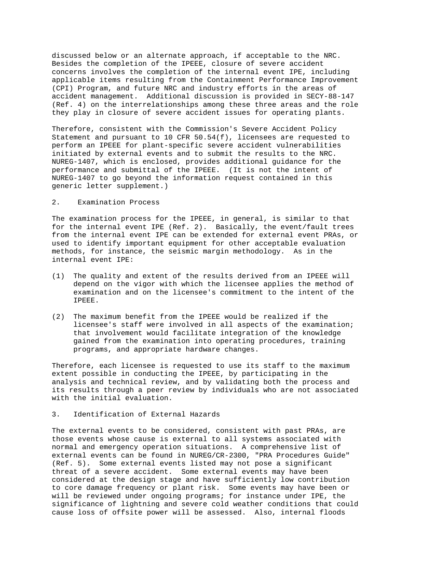discussed below or an alternate approach, if acceptable to the NRC. Besides the completion of the IPEEE, closure of severe accident concerns involves the completion of the internal event IPE, including applicable items resulting from the Containment Performance Improvement (CPI) Program, and future NRC and industry efforts in the areas of accident management. Additional discussion is provided in SECY-88-147 (Ref. 4) on the interrelationships among these three areas and the role they play in closure of severe accident issues for operating plants.

Therefore, consistent with the Commission's Severe Accident Policy Statement and pursuant to 10 CFR  $50.54(f)$ , licensees are requested to perform an IPEEE for plant-specific severe accident vulnerabilities initiated by external events and to submit the results to the NRC. NUREG-1407, which is enclosed, provides additional guidance for the performance and submittal of the IPEEE. (It is not the intent of NUREG-1407 to go beyond the information request contained in this generic letter supplement.)

#### $2.$ Examination Process

The examination process for the IPEEE, in general, is similar to that for the internal event IPE (Ref. 2). Basically, the event/fault trees from the internal event IPE can be extended for external event PRAs, or used to identify important equipment for other acceptable evaluation methods, for instance, the seismic margin methodology. As in the internal event IPE:

- (1) The quality and extent of the results derived from an IPEEE will depend on the vigor with which the licensee applies the method of examination and on the licensee's commitment to the intent of the IPEEE.
- (2) The maximum benefit from the IPEEE would be realized if the licensee's staff were involved in all aspects of the examination; that involvement would facilitate integration of the knowledge gained from the examination into operating procedures, training programs, and appropriate hardware changes.

Therefore, each licensee is requested to use its staff to the maximum extent possible in conducting the IPEEE, by participating in the analysis and technical review, and by validating both the process and its results through a peer review by individuals who are not associated with the initial evaluation.

## 3. Identification of External Hazards

The external events to be considered, consistent with past PRAs, are those events whose cause is external to all systems associated with normal and emergency operation situations. A comprehensive list of external events can be found in NUREG/CR-2300, "PRA Procedures Guide" (Ref. 5). Some external events listed may not pose a significant threat of a severe accident. Some external events may have been considered at the design stage and have sufficiently low contribution to core damage frequency or plant risk. Some events may have been or will be reviewed under ongoing programs; for instance under IPE, the significance of lightning and severe cold weather conditions that could cause loss of offsite power will be assessed. Also, internal floods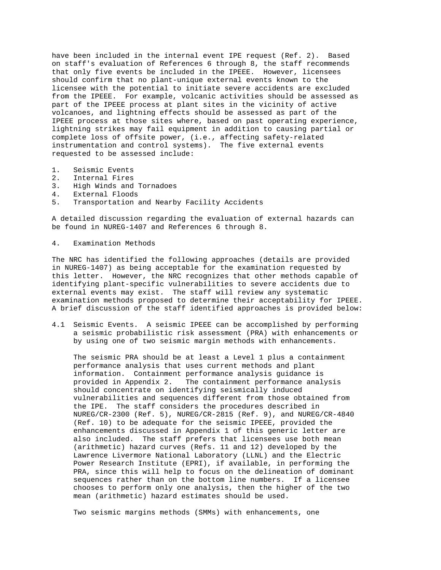have been included in the internal event IPE request (Ref. 2). Based on staff's evaluation of References 6 through 8, the staff recommends that only five events be included in the IPEEE. However, licensees should confirm that no plant-unique external events known to the licensee with the potential to initiate severe accidents are excluded from the IPEEE. For example, volcanic activities should be assessed as part of the IPEEE process at plant sites in the vicinity of active volcanoes, and lightning effects should be assessed as part of the IPEEE process at those sites where, based on past operating experience, lightning strikes may fail equipment in addition to causing partial or complete loss of offsite power, (i.e., affecting safety-related instrumentation and control systems). The five external events requested to be assessed include:

- 
- 1. Seismic Events<br>2. Internal Fires 2. Internal Fires<br>3. High Winds and
- 3. High Winds and Tornadoes<br>4. External Floods
- 4. External Floods<br>5. Transportation
- Transportation and Nearby Facility Accidents

A detailed discussion regarding the evaluation of external hazards can be found in NUREG-1407 and References 6 through 8.

#### 4. Examination Methods

The NRC has identified the following approaches (details are provided in NUREG-1407) as being acceptable for the examination requested by this letter. However, the NRC recognizes that other methods capable of identifying plant-specific vulnerabilities to severe accidents due to external events may exist. The staff will review any systematic examination methods proposed to determine their acceptability for IPEEE. A brief discussion of the staff identified approaches is provided below:

4.1 Seismic Events. A seismic IPEEE can be accomplished by performing a seismic probabilistic risk assessment (PRA) with enhancements or by using one of two seismic margin methods with enhancements.

 The seismic PRA should be at least a Level 1 plus a containment performance analysis that uses current methods and plant information. Containment performance analysis guidance is provided in Appendix 2. The containment performance analysis should concentrate on identifying seismically induced vulnerabilities and sequences different from those obtained from the IPE. The staff considers the procedures described in NUREG/CR-2300 (Ref. 5), NUREG/CR-2815 (Ref. 9), and NUREG/CR-4840 (Ref. 10) to be adequate for the seismic IPEEE, provided the enhancements discussed in Appendix 1 of this generic letter are also included. The staff prefers that licensees use both mean (arithmetic) hazard curves (Refs. 11 and 12) developed by the Lawrence Livermore National Laboratory (LLNL) and the Electric Power Research Institute (EPRI), if available, in performing the PRA, since this will help to focus on the delineation of dominant sequences rather than on the bottom line numbers. If a licensee chooses to perform only one analysis, then the higher of the two mean (arithmetic) hazard estimates should be used.

Two seismic margins methods (SMMs) with enhancements, one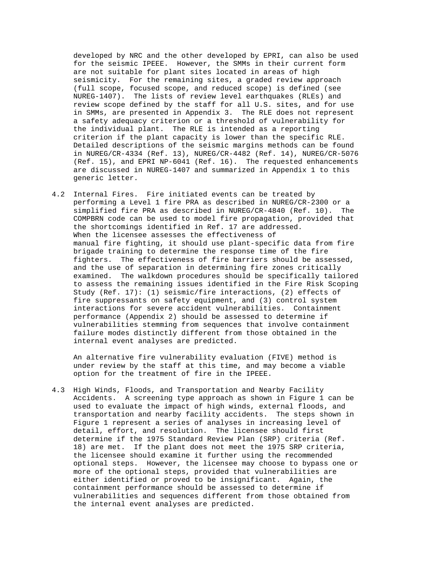developed by NRC and the other developed by EPRI, can also be used for the seismic IPEEE. However, the SMMs in their current form are not suitable for plant sites located in areas of high seismicity. For the remaining sites, a graded review approach (full scope, focused scope, and reduced scope) is defined (see NUREG-1407). The lists of review level earthquakes (RLEs) and review scope defined by the staff for all U.S. sites, and for use in SMMs, are presented in Appendix 3. The RLE does not represent a safety adequacy criterion or a threshold of vulnerability for the individual plant. The RLE is intended as a reporting criterion if the plant capacity is lower than the specific RLE. Detailed descriptions of the seismic margins methods can be found in NUREG/CR-4334 (Ref. 13), NUREG/CR-4482 (Ref. 14), NUREG/CR-5076 (Ref. 15), and EPRI NP-6041 (Ref. 16). The requested enhancements are discussed in NUREG-1407 and summarized in Appendix 1 to this generic letter.

4.2 Internal Fires. Fire initiated events can be treated by performing a Level 1 fire PRA as described in NUREG/CR-2300 or a simplified fire PRA as described in NUREG/CR-4840 (Ref. 10). The COMPBRN code can be used to model fire propagation, provided that the shortcomings identified in Ref. 17 are addressed. When the licensee assesses the effectiveness of manual fire fighting, it should use plant-specific data from fire brigade training to determine the response time of the fire fighters. The effectiveness of fire barriers should be assessed, and the use of separation in determining fire zones critically examined. The walkdown procedures should be specifically tailored to assess the remaining issues identified in the Fire Risk Scoping Study (Ref. 17): (1) seismic/fire interactions, (2) effects of fire suppressants on safety equipment, and (3) control system interactions for severe accident vulnerabilities. Containment performance (Appendix 2) should be assessed to determine if vulnerabilities stemming from sequences that involve containment failure modes distinctly different from those obtained in the internal event analyses are predicted.

 An alternative fire vulnerability evaluation (FIVE) method is under review by the staff at this time, and may become a viable option for the treatment of fire in the IPEEE.

4.3 High Winds, Floods, and Transportation and Nearby Facility Accidents. A screening type approach as shown in Figure 1 can be used to evaluate the impact of high winds, external floods, and transportation and nearby facility accidents. The steps shown in Figure 1 represent a series of analyses in increasing level of detail, effort, and resolution. The licensee should first determine if the 1975 Standard Review Plan (SRP) criteria (Ref. 18) are met. If the plant does not meet the 1975 SRP criteria, the licensee should examine it further using the recommended optional steps. However, the licensee may choose to bypass one or more of the optional steps, provided that vulnerabilities are either identified or proved to be insignificant. Again, the containment performance should be assessed to determine if vulnerabilities and sequences different from those obtained from the internal event analyses are predicted.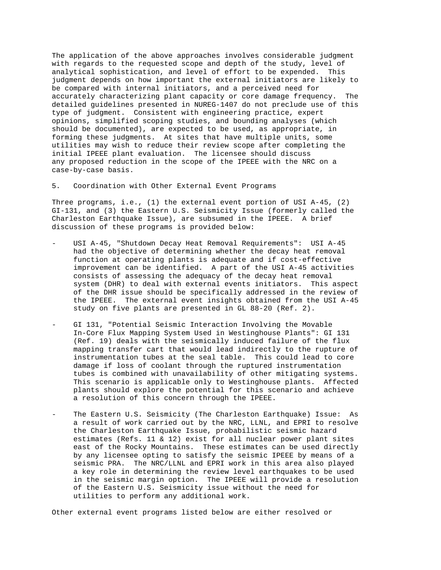The application of the above approaches involves considerable judgment with regards to the requested scope and depth of the study, level of analytical sophistication, and level of effort to be expended. This judgment depends on how important the external initiators are likely to be compared with internal initiators, and a perceived need for accurately characterizing plant capacity or core damage frequency. The detailed guidelines presented in NUREG-1407 do not preclude use of this type of judgment. Consistent with engineering practice, expert opinions, simplified scoping studies, and bounding analyses (which should be documented), are expected to be used, as appropriate, in forming these judgments. At sites that have multiple units, some utilities may wish to reduce their review scope after completing the initial IPEEE plant evaluation. The licensee should discuss any proposed reduction in the scope of the IPEEE with the NRC on a case-by-case basis.

#### 5. Coordination with Other External Event Programs

Three programs, i.e., (1) the external event portion of USI A-45, (2) GI-131, and (3) the Eastern U.S. Seismicity Issue (formerly called the Charleston Earthquake Issue), are subsumed in the IPEEE. A brief discussion of these programs is provided below:

- USI A-45, "Shutdown Decay Heat Removal Requirements": USI A-45 had the objective of determining whether the decay heat removal function at operating plants is adequate and if cost-effective improvement can be identified. A part of the USI A-45 activities consists of assessing the adequacy of the decay heat removal system (DHR) to deal with external events initiators. This aspect of the DHR issue should be specifically addressed in the review of the IPEEE. The external event insights obtained from the USI A-45 study on five plants are presented in GL 88-20 (Ref. 2).
- GI 131, "Potential Seismic Interaction Involving the Movable In-Core Flux Mapping System Used in Westinghouse Plants": GI 131 (Ref. 19) deals with the seismically induced failure of the flux mapping transfer cart that would lead indirectly to the rupture of instrumentation tubes at the seal table. This could lead to core damage if loss of coolant through the ruptured instrumentation tubes is combined with unavailability of other mitigating systems. This scenario is applicable only to Westinghouse plants. Affected plants should explore the potential for this scenario and achieve a resolution of this concern through the IPEEE.
- The Eastern U.S. Seismicity (The Charleston Earthquake) Issue: As a result of work carried out by the NRC, LLNL, and EPRI to resolve the Charleston Earthquake Issue, probabilistic seismic hazard estimates (Refs. 11 & 12) exist for all nuclear power plant sites east of the Rocky Mountains. These estimates can be used directly by any licensee opting to satisfy the seismic IPEEE by means of a seismic PRA. The NRC/LLNL and EPRI work in this area also played a key role in determining the review level earthquakes to be used in the seismic margin option. The IPEEE will provide a resolution of the Eastern U.S. Seismicity issue without the need for utilities to perform any additional work.

Other external event programs listed below are either resolved or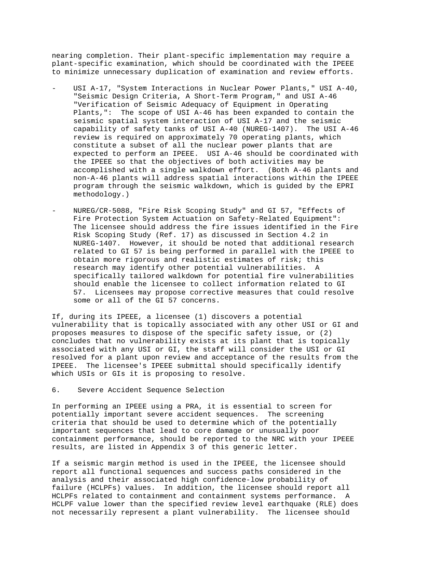nearing completion. Their plant-specific implementation may require a plant-specific examination, which should be coordinated with the IPEEE to minimize unnecessary duplication of examination and review efforts.

- USI A-17, "System Interactions in Nuclear Power Plants," USI A-40, "Seismic Design Criteria, A Short-Term Program," and USI A-46 "Verification of Seismic Adequacy of Equipment in Operating Plants,": The scope of USI A-46 has been expanded to contain the seismic spatial system interaction of USI A-17 and the seismic capability of safety tanks of USI A-40 (NUREG-1407). The USI A-46 review is required on approximately 70 operating plants, which constitute a subset of all the nuclear power plants that are expected to perform an IPEEE. USI A-46 should be coordinated with the IPEEE so that the objectives of both activities may be accomplished with a single walkdown effort. (Both A-46 plants and non-A-46 plants will address spatial interactions within the IPEEE program through the seismic walkdown, which is guided by the EPRI methodology.)
- NUREG/CR-5088, "Fire Risk Scoping Study" and GI 57, "Effects of Fire Protection System Actuation on Safety-Related Equipment": The licensee should address the fire issues identified in the Fire Risk Scoping Study (Ref. 17) as discussed in Section 4.2 in NUREG-1407. However, it should be noted that additional research related to GI 57 is being performed in parallel with the IPEEE to obtain more rigorous and realistic estimates of risk; this research may identify other potential vulnerabilities. A specifically tailored walkdown for potential fire vulnerabilities should enable the licensee to collect information related to GI 57. Licensees may propose corrective measures that could resolve some or all of the GI 57 concerns.

If, during its IPEEE, a licensee (1) discovers a potential vulnerability that is topically associated with any other USI or GI and proposes measures to dispose of the specific safety issue, or (2) concludes that no vulnerability exists at its plant that is topically associated with any USI or GI, the staff will consider the USI or GI resolved for a plant upon review and acceptance of the results from the IPEEE. The licensee's IPEEE submittal should specifically identify which USIs or GIs it is proposing to resolve.

## 6. Severe Accident Sequence Selection

In performing an IPEEE using a PRA, it is essential to screen for potentially important severe accident sequences. The screening criteria that should be used to determine which of the potentially important sequences that lead to core damage or unusually poor containment performance, should be reported to the NRC with your IPEEE results, are listed in Appendix 3 of this generic letter.

If a seismic margin method is used in the IPEEE, the licensee should report all functional sequences and success paths considered in the analysis and their associated high confidence-low probability of failure (HCLPFs) values. In addition, the licensee should report all HCLPFs related to containment and containment systems performance. A HCLPF value lower than the specified review level earthquake (RLE) does not necessarily represent a plant vulnerability. The licensee should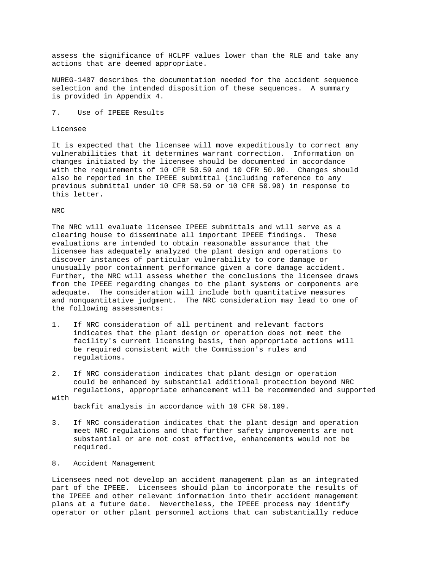assess the significance of HCLPF values lower than the RLE and take any actions that are deemed appropriate.

NUREG-1407 describes the documentation needed for the accident sequence selection and the intended disposition of these sequences. A summary is provided in Appendix 4.

7. Use of IPEEE Results

Licensee

It is expected that the licensee will move expeditiously to correct any vulnerabilities that it determines warrant correction. Information on changes initiated by the licensee should be documented in accordance with the requirements of 10 CFR 50.59 and 10 CFR 50.90. Changes should also be reported in the IPEEE submittal (including reference to any previous submittal under 10 CFR 50.59 or 10 CFR 50.90) in response to this letter.

#### NRC

with

The NRC will evaluate licensee IPEEE submittals and will serve as a clearing house to disseminate all important IPEEE findings. These evaluations are intended to obtain reasonable assurance that the licensee has adequately analyzed the plant design and operations to discover instances of particular vulnerability to core damage or unusually poor containment performance given a core damage accident. Further, the NRC will assess whether the conclusions the licensee draws from the IPEEE regarding changes to the plant systems or components are adequate. The consideration will include both quantitative measures and nonquantitative judgment. The NRC consideration may lead to one of the following assessments:

- 1. If NRC consideration of all pertinent and relevant factors indicates that the plant design or operation does not meet the facility's current licensing basis, then appropriate actions will be required consistent with the Commission's rules and regulations.
- 2. If NRC consideration indicates that plant design or operation could be enhanced by substantial additional protection beyond NRC regulations, appropriate enhancement will be recommended and supported

backfit analysis in accordance with 10 CFR 50.109.

- 3. If NRC consideration indicates that the plant design and operation meet NRC regulations and that further safety improvements are not substantial or are not cost effective, enhancements would not be required.
- 8. Accident Management

Licensees need not develop an accident management plan as an integrated part of the IPEEE. Licensees should plan to incorporate the results of the IPEEE and other relevant information into their accident management plans at a future date. Nevertheless, the IPEEE process may identify operator or other plant personnel actions that can substantially reduce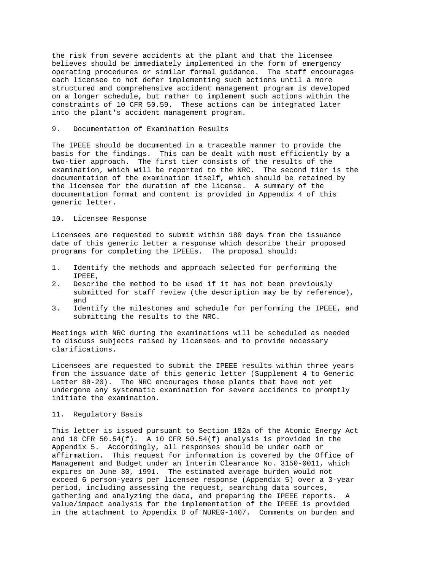the risk from severe accidents at the plant and that the licensee believes should be immediately implemented in the form of emergency operating procedures or similar formal guidance. The staff encourages each licensee to not defer implementing such actions until a more structured and comprehensive accident management program is developed on a longer schedule, but rather to implement such actions within the constraints of 10 CFR 50.59. These actions can be integrated later into the plant's accident management program.

#### 9. Documentation of Examination Results

The IPEEE should be documented in a traceable manner to provide the basis for the findings. This can be dealt with most efficiently by a two-tier approach. The first tier consists of the results of the examination, which will be reported to the NRC. The second tier is the documentation of the examination itself, which should be retained by the licensee for the duration of the license. A summary of the documentation format and content is provided in Appendix 4 of this generic letter.

## 10. Licensee Response

Licensees are requested to submit within 180 days from the issuance date of this generic letter a response which describe their proposed programs for completing the IPEEEs. The proposal should:

- 1. Identify the methods and approach selected for performing the IPEEE,<br>2. Descri
- Describe the method to be used if it has not been previously submitted for staff review (the description may be by reference), and
- 3. Identify the milestones and schedule for performing the IPEEE, and submitting the results to the NRC.

Meetings with NRC during the examinations will be scheduled as needed to discuss subjects raised by licensees and to provide necessary clarifications.

Licensees are requested to submit the IPEEE results within three years from the issuance date of this generic letter (Supplement 4 to Generic Letter 88-20). The NRC encourages those plants that have not yet undergone any systematic examination for severe accidents to promptly initiate the examination.

## 11. Regulatory Basis

This letter is issued pursuant to Section 182a of the Atomic Energy Act and 10 CFR 50.54(f). A 10 CFR 50.54(f) analysis is provided in the Appendix 5. Accordingly, all responses should be under oath or affirmation. This request for information is covered by the Office of Management and Budget under an Interim Clearance No. 3150-0011, which expires on June 30, 1991. The estimated average burden would not exceed 6 person-years per licensee response (Appendix 5) over a 3-year period, including assessing the request, searching data sources, gathering and analyzing the data, and preparing the IPEEE reports. A value/impact analysis for the implementation of the IPEEE is provided in the attachment to Appendix D of NUREG-1407. Comments on burden and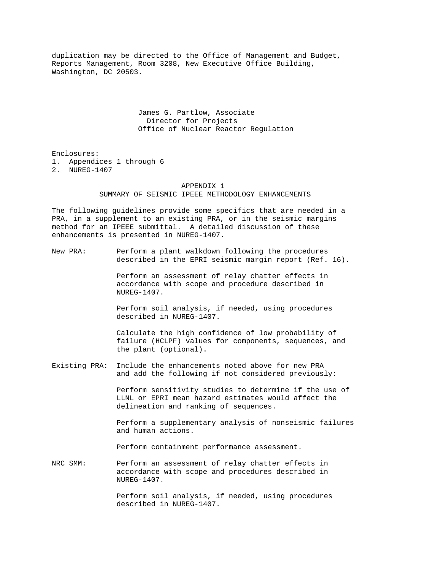duplication may be directed to the Office of Management and Budget, Reports Management, Room 3208, New Executive Office Building, Washington, DC 20503.

> James G. Partlow, Associate Director for Projects Office of Nuclear Reactor Regulation

Enclosures: 1. Appendices 1 through 6 2. NUREG-1407

#### APPENDIX 1

# SUMMARY OF SEISMIC IPEEE METHODOLOGY ENHANCEMENTS

The following guidelines provide some specifics that are needed in a PRA, in a supplement to an existing PRA, or in the seismic margins method for an IPEEE submittal. A detailed discussion of these enhancements is presented in NUREG-1407.

New PRA: Perform a plant walkdown following the procedures described in the EPRI seismic margin report (Ref. 16).

> Perform an assessment of relay chatter effects in accordance with scope and procedure described in NUREG-1407.

 Perform soil analysis, if needed, using procedures described in NUREG-1407.

 Calculate the high confidence of low probability of failure (HCLPF) values for components, sequences, and the plant (optional).

Existing PRA: Include the enhancements noted above for new PRA and add the following if not considered previously:

> Perform sensitivity studies to determine if the use of LLNL or EPRI mean hazard estimates would affect the delineation and ranking of sequences.

 Perform a supplementary analysis of nonseismic failures and human actions.

Perform containment performance assessment.

NRC SMM: Perform an assessment of relay chatter effects in accordance with scope and procedures described in NUREG-1407.

> Perform soil analysis, if needed, using procedures described in NUREG-1407.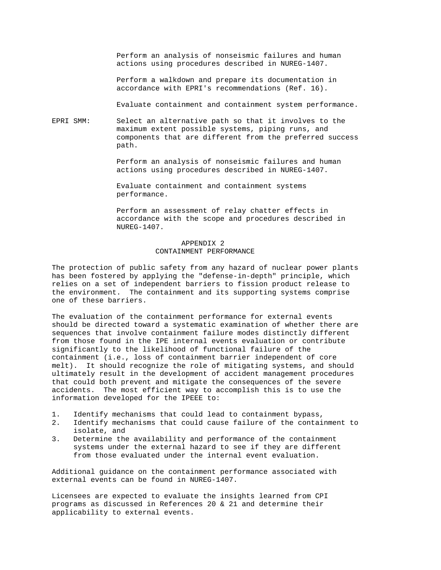Perform an analysis of nonseismic failures and human actions using procedures described in NUREG-1407.

 Perform a walkdown and prepare its documentation in accordance with EPRI's recommendations (Ref. 16).

Evaluate containment and containment system performance.

EPRI SMM: Select an alternative path so that it involves to the maximum extent possible systems, piping runs, and components that are different from the preferred success path.

> Perform an analysis of nonseismic failures and human actions using procedures described in NUREG-1407.

 Evaluate containment and containment systems performance.

 Perform an assessment of relay chatter effects in accordance with the scope and procedures described in NUREG-1407.

# APPENDIX 2 CONTAINMENT PERFORMANCE

The protection of public safety from any hazard of nuclear power plants has been fostered by applying the "defense-in-depth" principle, which relies on a set of independent barriers to fission product release to the environment. The containment and its supporting systems comprise one of these barriers.

The evaluation of the containment performance for external events should be directed toward a systematic examination of whether there are sequences that involve containment failure modes distinctly different from those found in the IPE internal events evaluation or contribute significantly to the likelihood of functional failure of the containment (i.e., loss of containment barrier independent of core melt). It should recognize the role of mitigating systems, and should ultimately result in the development of accident management procedures that could both prevent and mitigate the consequences of the severe accidents. The most efficient way to accomplish this is to use the information developed for the IPEEE to:

- 1. Identify mechanisms that could lead to containment bypass,<br>2. Identify mechanisms that could cause failure of the contain
- Identify mechanisms that could cause failure of the containment to isolate, and<br>3. Determine the
- Determine the availability and performance of the containment systems under the external hazard to see if they are different from those evaluated under the internal event evaluation.

Additional guidance on the containment performance associated with external events can be found in NUREG-1407.

Licensees are expected to evaluate the insights learned from CPI programs as discussed in References 20 & 21 and determine their applicability to external events.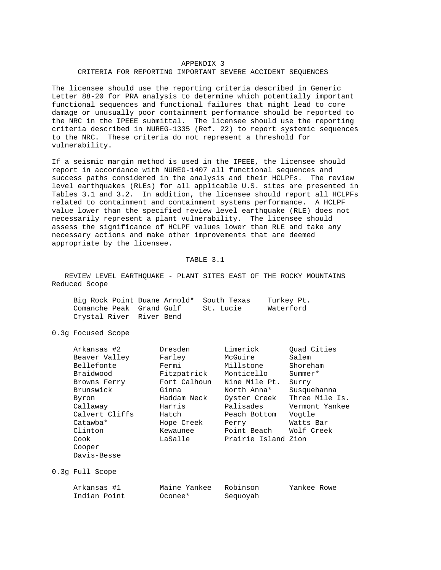#### APPENDIX 3

## CRITERIA FOR REPORTING IMPORTANT SEVERE ACCIDENT SEQUENCES

The licensee should use the reporting criteria described in Generic Letter 88-20 for PRA analysis to determine which potentially important functional sequences and functional failures that might lead to core damage or unusually poor containment performance should be reported to the NRC in the IPEEE submittal. The licensee should use the reporting criteria described in NUREG-1335 (Ref. 22) to report systemic sequences to the NRC. These criteria do not represent a threshold for vulnerability.

If a seismic margin method is used in the IPEEE, the licensee should report in accordance with NUREG-1407 all functional sequences and success paths considered in the analysis and their HCLPFs. The review level earthquakes (RLEs) for all applicable U.S. sites are presented in Tables 3.1 and 3.2. In addition, the licensee should report all HCLPFs related to containment and containment systems performance. A HCLPF value lower than the specified review level earthquake (RLE) does not necessarily represent a plant vulnerability. The licensee should assess the significance of HCLPF values lower than RLE and take any necessary actions and make other improvements that are deemed appropriate by the licensee.

#### TABLE 3.1

 REVIEW LEVEL EARTHQUAKE - PLANT SITES EAST OF THE ROCKY MOUNTAINS Reduced Scope

|                          | Big Rock Point Duane Arnold* South Texas | Turkey Pt. |
|--------------------------|------------------------------------------|------------|
| Comanche Peak Grand Gulf | St. Lucie                                | Waterford  |
| Crystal River River Bend |                                          |            |

0.3g Focused Scope

| Arkansas #2    | Dresden      | Limerick            | Ouad Cities    |
|----------------|--------------|---------------------|----------------|
| Beaver Valley  | Farley       | McGuire             | Salem          |
| Bellefonte     | Fermi        | Millstone           | Shoreham       |
| Braidwood      | Fitzpatrick  | Monticello          | $Summer*$      |
| Browns Ferry   | Fort Calhoun | Nine Mile Pt.       | Surry          |
| Brunswick      | Ginna        | North Anna*         | Susquehanna    |
| Byron          | Haddam Neck  | Oyster Creek        | Three Mile Is. |
| Callaway       | Harris       | Palisades           | Vermont Yankee |
| Calvert Cliffs | Hatch        | Peach Bottom        | Vogtle         |
| Catawba*       | Hope Creek   | Perry               | Watts Bar      |
| Clinton        | Kewaunee     | Point Beach         | Wolf Creek     |
| Cook           | LaSalle      | Prairie Island Zion |                |
| Cooper         |              |                     |                |
| Davis-Besse    |              |                     |                |
|                |              |                     |                |

0.3g Full Scope

| Arkansas #1  | Maine Yankee | Robinson | Yankee Rowe |
|--------------|--------------|----------|-------------|
| Indian Point | Oconee*      | Sequoyah |             |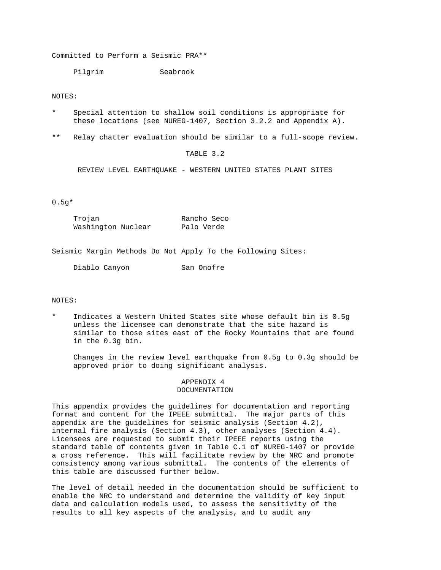Committed to Perform a Seismic PRA\*\*

Pilgrim Seabrook

## NOTES:

- Special attention to shallow soil conditions is appropriate for these locations (see NUREG-1407, Section 3.2.2 and Appendix A).
- \*\* Relay chatter evaluation should be similar to a full-scope review.

## TABLE 3.2

REVIEW LEVEL EARTHQUAKE - WESTERN UNITED STATES PLANT SITES

# 0.5g\*

| Trojan             | Rancho Seco |
|--------------------|-------------|
| Washington Nuclear | Palo Verde  |

Seismic Margin Methods Do Not Apply To the Following Sites:

Diablo Canyon San Onofre

## NOTES:

Indicates a Western United States site whose default bin is 0.5g unless the licensee can demonstrate that the site hazard is similar to those sites east of the Rocky Mountains that are found in the 0.3g bin.

 Changes in the review level earthquake from 0.5g to 0.3g should be approved prior to doing significant analysis.

#### APPENDIX 4 DOCUMENTATION

This appendix provides the guidelines for documentation and reporting format and content for the IPEEE submittal. The major parts of this appendix are the guidelines for seismic analysis (Section 4.2), internal fire analysis (Section 4.3), other analyses (Section 4.4). Licensees are requested to submit their IPEEE reports using the standard table of contents given in Table C.1 of NUREG-1407 or provide a cross reference. This will facilitate review by the NRC and promote consistency among various submittal. The contents of the elements of this table are discussed further below.

The level of detail needed in the documentation should be sufficient to enable the NRC to understand and determine the validity of key input data and calculation models used, to assess the sensitivity of the results to all key aspects of the analysis, and to audit any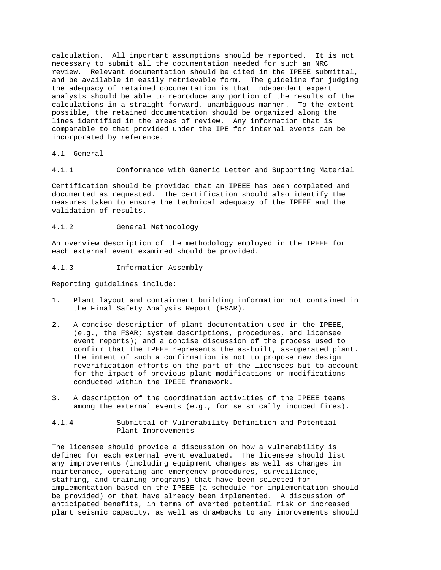calculation. All important assumptions should be reported. It is not necessary to submit all the documentation needed for such an NRC review. Relevant documentation should be cited in the IPEEE submittal, and be available in easily retrievable form. The guideline for judging the adequacy of retained documentation is that independent expert analysts should be able to reproduce any portion of the results of the calculations in a straight forward, unambiguous manner. To the extent possible, the retained documentation should be organized along the lines identified in the areas of review. Any information that is comparable to that provided under the IPE for internal events can be incorporated by reference.

4.1 General

4.1.1 Conformance with Generic Letter and Supporting Material

Certification should be provided that an IPEEE has been completed and documented as requested. The certification should also identify the measures taken to ensure the technical adequacy of the IPEEE and the validation of results.

4.1.2 General Methodology

An overview description of the methodology employed in the IPEEE for each external event examined should be provided.

4.1.3 Information Assembly

Reporting guidelines include:

- 1. Plant layout and containment building information not contained in the Final Safety Analysis Report (FSAR).
- 2. A concise description of plant documentation used in the IPEEE, (e.g., the FSAR; system descriptions, procedures, and licensee event reports); and a concise discussion of the process used to confirm that the IPEEE represents the as-built, as-operated plant. The intent of such a confirmation is not to propose new design reverification efforts on the part of the licensees but to account for the impact of previous plant modifications or modifications conducted within the IPEEE framework.
- 3. A description of the coordination activities of the IPEEE teams among the external events (e.g., for seismically induced fires).
- 4.1.4 Submittal of Vulnerability Definition and Potential Plant Improvements

The licensee should provide a discussion on how a vulnerability is defined for each external event evaluated. The licensee should list any improvements (including equipment changes as well as changes in maintenance, operating and emergency procedures, surveillance, staffing, and training programs) that have been selected for implementation based on the IPEEE (a schedule for implementation should be provided) or that have already been implemented. A discussion of anticipated benefits, in terms of averted potential risk or increased plant seismic capacity, as well as drawbacks to any improvements should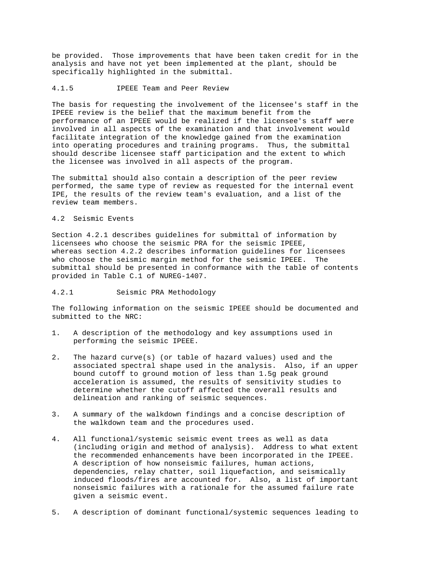be provided. Those improvements that have been taken credit for in the analysis and have not yet been implemented at the plant, should be specifically highlighted in the submittal.

#### 4.1.5 IPEEE Team and Peer Review

The basis for requesting the involvement of the licensee's staff in the IPEEE review is the belief that the maximum benefit from the performance of an IPEEE would be realized if the licensee's staff were involved in all aspects of the examination and that involvement would facilitate integration of the knowledge gained from the examination into operating procedures and training programs. Thus, the submittal should describe licensee staff participation and the extent to which the licensee was involved in all aspects of the program.

The submittal should also contain a description of the peer review performed, the same type of review as requested for the internal event IPE, the results of the review team's evaluation, and a list of the review team members.

# 4.2 Seismic Events

Section 4.2.1 describes guidelines for submittal of information by licensees who choose the seismic PRA for the seismic IPEEE, whereas section 4.2.2 describes information guidelines for licensees who choose the seismic margin method for the seismic IPEEE. The submittal should be presented in conformance with the table of contents provided in Table C.1 of NUREG-1407.

# 4.2.1 Seismic PRA Methodology

The following information on the seismic IPEEE should be documented and submitted to the NRC:

- 1. A description of the methodology and key assumptions used in performing the seismic IPEEE.
- 2. The hazard curve(s) (or table of hazard values) used and the associated spectral shape used in the analysis. Also, if an upper bound cutoff to ground motion of less than 1.5g peak ground acceleration is assumed, the results of sensitivity studies to determine whether the cutoff affected the overall results and delineation and ranking of seismic sequences.
- 3. A summary of the walkdown findings and a concise description of the walkdown team and the procedures used.
- 4. All functional/systemic seismic event trees as well as data (including origin and method of analysis). Address to what extent the recommended enhancements have been incorporated in the IPEEE. A description of how nonseismic failures, human actions, dependencies, relay chatter, soil liquefaction, and seismically induced floods/fires are accounted for. Also, a list of important nonseismic failures with a rationale for the assumed failure rate given a seismic event.
- 5. A description of dominant functional/systemic sequences leading to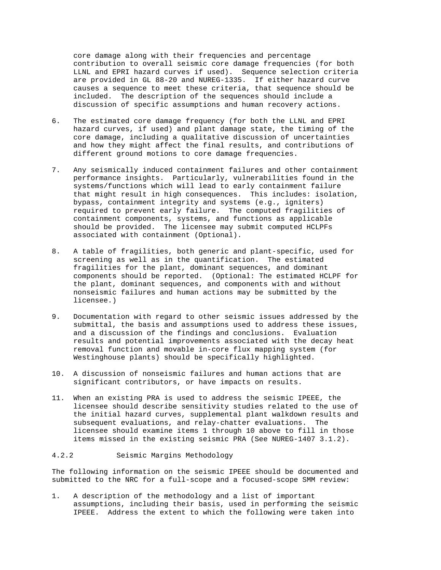core damage along with their frequencies and percentage contribution to overall seismic core damage frequencies (for both LLNL and EPRI hazard curves if used). Sequence selection criteria are provided in GL 88-20 and NUREG-1335. If either hazard curve causes a sequence to meet these criteria, that sequence should be included. The description of the sequences should include a discussion of specific assumptions and human recovery actions.

- 6. The estimated core damage frequency (for both the LLNL and EPRI hazard curves, if used) and plant damage state, the timing of the core damage, including a qualitative discussion of uncertainties and how they might affect the final results, and contributions of different ground motions to core damage frequencies.
- 7. Any seismically induced containment failures and other containment performance insights. Particularly, vulnerabilities found in the systems/functions which will lead to early containment failure that might result in high consequences. This includes: isolation, bypass, containment integrity and systems (e.g., igniters) required to prevent early failure. The computed fragilities of containment components, systems, and functions as applicable should be provided. The licensee may submit computed HCLPFs associated with containment (Optional).
- 8. A table of fragilities, both generic and plant-specific, used for screening as well as in the quantification. The estimated fragilities for the plant, dominant sequences, and dominant components should be reported. (Optional: The estimated HCLPF for the plant, dominant sequences, and components with and without nonseismic failures and human actions may be submitted by the licensee.)
- 9. Documentation with regard to other seismic issues addressed by the submittal, the basis and assumptions used to address these issues, and a discussion of the findings and conclusions. Evaluation results and potential improvements associated with the decay heat removal function and movable in-core flux mapping system (for Westinghouse plants) should be specifically highlighted.
- 10. A discussion of nonseismic failures and human actions that are significant contributors, or have impacts on results.
- 11. When an existing PRA is used to address the seismic IPEEE, the licensee should describe sensitivity studies related to the use of the initial hazard curves, supplemental plant walkdown results and subsequent evaluations, and relay-chatter evaluations. The licensee should examine items 1 through 10 above to fill in those items missed in the existing seismic PRA (See NUREG-1407 3.1.2).

# 4.2.2 Seismic Margins Methodology

The following information on the seismic IPEEE should be documented and submitted to the NRC for a full-scope and a focused-scope SMM review:

1. A description of the methodology and a list of important assumptions, including their basis, used in performing the seismic IPEEE. Address the extent to which the following were taken into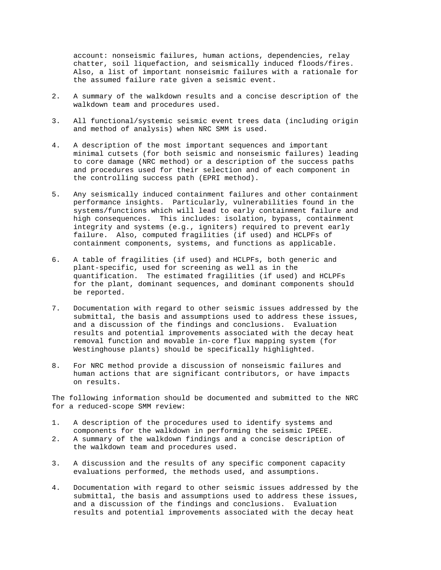account: nonseismic failures, human actions, dependencies, relay chatter, soil liquefaction, and seismically induced floods/fires. Also, a list of important nonseismic failures with a rationale for the assumed failure rate given a seismic event.

- 2. A summary of the walkdown results and a concise description of the walkdown team and procedures used.
- 3. All functional/systemic seismic event trees data (including origin and method of analysis) when NRC SMM is used.
- 4. A description of the most important sequences and important minimal cutsets (for both seismic and nonseismic failures) leading to core damage (NRC method) or a description of the success paths and procedures used for their selection and of each component in the controlling success path (EPRI method).
- 5. Any seismically induced containment failures and other containment performance insights. Particularly, vulnerabilities found in the systems/functions which will lead to early containment failure and high consequences. This includes: isolation, bypass, containment integrity and systems (e.g., igniters) required to prevent early failure. Also, computed fragilities (if used) and HCLPFs of containment components, systems, and functions as applicable.
- 6. A table of fragilities (if used) and HCLPFs, both generic and plant-specific, used for screening as well as in the quantification. The estimated fragilities (if used) and HCLPFs for the plant, dominant sequences, and dominant components should be reported.
- 7. Documentation with regard to other seismic issues addressed by the submittal, the basis and assumptions used to address these issues, and a discussion of the findings and conclusions. Evaluation results and potential improvements associated with the decay heat removal function and movable in-core flux mapping system (for Westinghouse plants) should be specifically highlighted.
- 8. For NRC method provide a discussion of nonseismic failures and human actions that are significant contributors, or have impacts on results.

The following information should be documented and submitted to the NRC for a reduced-scope SMM review:

- 1. A description of the procedures used to identify systems and components for the walkdown in performing the seismic IPEEE.<br>2. A summary of the walkdown findings and a concise description
- 2. A summary of the walkdown findings and a concise description of the walkdown team and procedures used.
- 3. A discussion and the results of any specific component capacity evaluations performed, the methods used, and assumptions.
- 4. Documentation with regard to other seismic issues addressed by the submittal, the basis and assumptions used to address these issues, and a discussion of the findings and conclusions. Evaluation results and potential improvements associated with the decay heat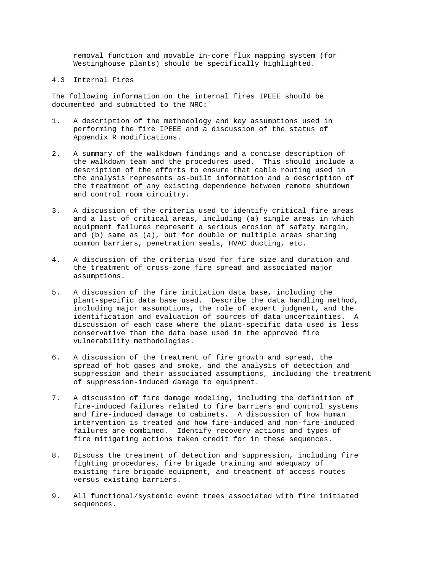removal function and movable in-core flux mapping system (for Westinghouse plants) should be specifically highlighted.

4.3 Internal Fires

The following information on the internal fires IPEEE should be documented and submitted to the NRC:

- 1. A description of the methodology and key assumptions used in performing the fire IPEEE and a discussion of the status of Appendix R modifications.
- 2. A summary of the walkdown findings and a concise description of the walkdown team and the procedures used. This should include a description of the efforts to ensure that cable routing used in the analysis represents as-built information and a description of the treatment of any existing dependence between remote shutdown and control room circuitry.
- 3. A discussion of the criteria used to identify critical fire areas and a list of critical areas, including (a) single areas in which equipment failures represent a serious erosion of safety margin, and (b) same as (a), but for double or multiple areas sharing common barriers, penetration seals, HVAC ducting, etc.
- 4. A discussion of the criteria used for fire size and duration and the treatment of cross-zone fire spread and associated major assumptions.
- 5. A discussion of the fire initiation data base, including the plant-specific data base used. Describe the data handling method, including major assumptions, the role of expert judgment, and the identification and evaluation of sources of data uncertainties. A discussion of each case where the plant-specific data used is less conservative than the data base used in the approved fire vulnerability methodologies.
- 6. A discussion of the treatment of fire growth and spread, the spread of hot gases and smoke, and the analysis of detection and suppression and their associated assumptions, including the treatment of suppression-induced damage to equipment.
- 7. A discussion of fire damage modeling, including the definition of fire-induced failures related to fire barriers and control systems and fire-induced damage to cabinets. A discussion of how human intervention is treated and how fire-induced and non-fire-induced failures are combined. Identify recovery actions and types of fire mitigating actions taken credit for in these sequences.
- 8. Discuss the treatment of detection and suppression, including fire fighting procedures, fire brigade training and adequacy of existing fire brigade equipment, and treatment of access routes versus existing barriers.
- 9. All functional/systemic event trees associated with fire initiated sequences.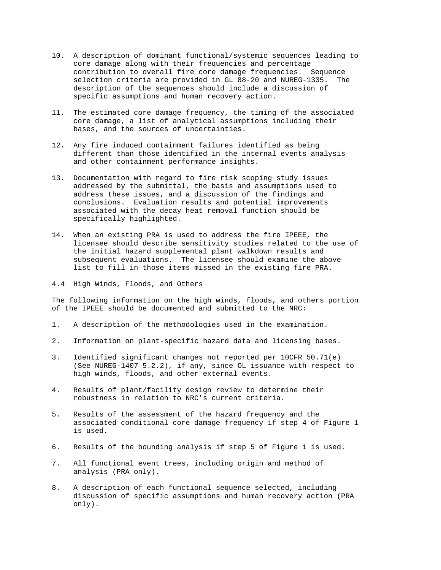- 10. A description of dominant functional/systemic sequences leading to core damage along with their frequencies and percentage contribution to overall fire core damage frequencies. Sequence selection criteria are provided in GL 88-20 and NUREG-1335. The description of the sequences should include a discussion of specific assumptions and human recovery action.
- 11. The estimated core damage frequency, the timing of the associated core damage, a list of analytical assumptions including their bases, and the sources of uncertainties.
- 12. Any fire induced containment failures identified as being different than those identified in the internal events analysis and other containment performance insights.
- 13. Documentation with regard to fire risk scoping study issues addressed by the submittal, the basis and assumptions used to address these issues, and a discussion of the findings and conclusions. Evaluation results and potential improvements associated with the decay heat removal function should be specifically highlighted.
- 14. When an existing PRA is used to address the fire IPEEE, the licensee should describe sensitivity studies related to the use of the initial hazard supplemental plant walkdown results and subsequent evaluations. The licensee should examine the above list to fill in those items missed in the existing fire PRA.
- 4.4 High Winds, Floods, and Others

The following information on the high winds, floods, and others portion of the IPEEE should be documented and submitted to the NRC:

- 1. A description of the methodologies used in the examination.
- 2. Information on plant-specific hazard data and licensing bases.
- 3. Identified significant changes not reported per 10CFR 50.71(e) (See NUREG-1407 5.2.2), if any, since OL issuance with respect to high winds, floods, and other external events.
- 4. Results of plant/facility design review to determine their robustness in relation to NRC's current criteria.
- 5. Results of the assessment of the hazard frequency and the associated conditional core damage frequency if step 4 of Figure 1 is used.
- 6. Results of the bounding analysis if step 5 of Figure 1 is used.
- 7. All functional event trees, including origin and method of analysis (PRA only).
- 8. A description of each functional sequence selected, including discussion of specific assumptions and human recovery action (PRA only).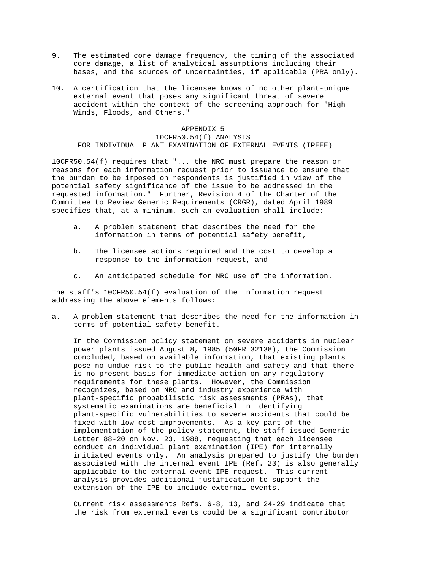- 9. The estimated core damage frequency, the timing of the associated core damage, a list of analytical assumptions including their bases, and the sources of uncertainties, if applicable (PRA only).
- 10. A certification that the licensee knows of no other plant-unique external event that poses any significant threat of severe accident within the context of the screening approach for "High Winds, Floods, and Others."

 APPENDIX 5 10CFR50.54(f) ANALYSIS FOR INDIVIDUAL PLANT EXAMINATION OF EXTERNAL EVENTS (IPEEE)

10CFR50.54(f) requires that "... the NRC must prepare the reason or reasons for each information request prior to issuance to ensure that the burden to be imposed on respondents is justified in view of the potential safety significance of the issue to be addressed in the requested information." Further, Revision 4 of the Charter of the Committee to Review Generic Requirements (CRGR), dated April 1989 specifies that, at a minimum, such an evaluation shall include:

- a. A problem statement that describes the need for the information in terms of potential safety benefit,
- b. The licensee actions required and the cost to develop a response to the information request, and
- c. An anticipated schedule for NRC use of the information.

The staff's 10CFR50.54(f) evaluation of the information request addressing the above elements follows:

a. A problem statement that describes the need for the information in terms of potential safety benefit.

 In the Commission policy statement on severe accidents in nuclear power plants issued August 8, 1985 (50FR 32138), the Commission concluded, based on available information, that existing plants pose no undue risk to the public health and safety and that there is no present basis for immediate action on any regulatory requirements for these plants. However, the Commission recognizes, based on NRC and industry experience with plant-specific probabilistic risk assessments (PRAs), that systematic examinations are beneficial in identifying plant-specific vulnerabilities to severe accidents that could be fixed with low-cost improvements. As a key part of the implementation of the policy statement, the staff issued Generic Letter 88-20 on Nov. 23, 1988, requesting that each licensee conduct an individual plant examination (IPE) for internally initiated events only. An analysis prepared to justify the burden associated with the internal event IPE (Ref. 23) is also generally applicable to the external event IPE request. This current analysis provides additional justification to support the extension of the IPE to include external events.

 Current risk assessments Refs. 6-8, 13, and 24-29 indicate that the risk from external events could be a significant contributor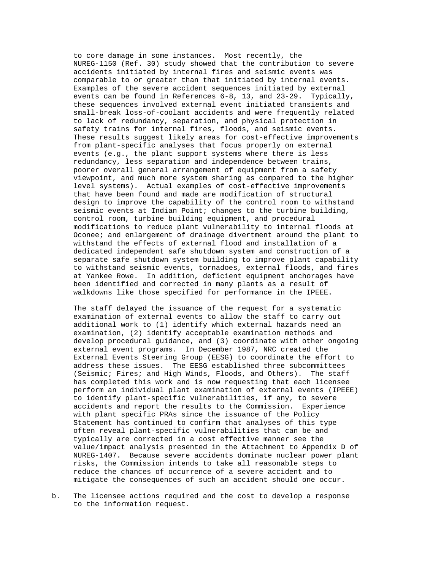to core damage in some instances. Most recently, the NUREG-1150 (Ref. 30) study showed that the contribution to severe accidents initiated by internal fires and seismic events was comparable to or greater than that initiated by internal events. Examples of the severe accident sequences initiated by external events can be found in References 6-8, 13, and 23-29. Typically, these sequences involved external event initiated transients and small-break loss-of-coolant accidents and were frequently related to lack of redundancy, separation, and physical protection in safety trains for internal fires, floods, and seismic events. These results suggest likely areas for cost-effective improvements from plant-specific analyses that focus properly on external events (e.g., the plant support systems where there is less redundancy, less separation and independence between trains, poorer overall general arrangement of equipment from a safety viewpoint, and much more system sharing as compared to the higher level systems). Actual examples of cost-effective improvements that have been found and made are modification of structural design to improve the capability of the control room to withstand seismic events at Indian Point; changes to the turbine building, control room, turbine building equipment, and procedural modifications to reduce plant vulnerability to internal floods at Oconee; and enlargement of drainage divertment around the plant to withstand the effects of external flood and installation of a dedicated independent safe shutdown system and construction of a separate safe shutdown system building to improve plant capability to withstand seismic events, tornadoes, external floods, and fires at Yankee Rowe. In addition, deficient equipment anchorages have been identified and corrected in many plants as a result of walkdowns like those specified for performance in the IPEEE.

 The staff delayed the issuance of the request for a systematic examination of external events to allow the staff to carry out additional work to (1) identify which external hazards need an examination, (2) identify acceptable examination methods and develop procedural guidance, and (3) coordinate with other ongoing external event programs. In December 1987, NRC created the External Events Steering Group (EESG) to coordinate the effort to address these issues. The EESG established three subcommittees (Seismic; Fires; and High Winds, Floods, and Others). The staff has completed this work and is now requesting that each licensee perform an individual plant examination of external events (IPEEE) to identify plant-specific vulnerabilities, if any, to severe accidents and report the results to the Commission. Experience with plant specific PRAs since the issuance of the Policy Statement has continued to confirm that analyses of this type often reveal plant-specific vulnerabilities that can be and typically are corrected in a cost effective manner see the value/impact analysis presented in the Attachment to Appendix D of NUREG-1407. Because severe accidents dominate nuclear power plant risks, the Commission intends to take all reasonable steps to reduce the chances of occurrence of a severe accident and to mitigate the consequences of such an accident should one occur.

b. The licensee actions required and the cost to develop a response to the information request.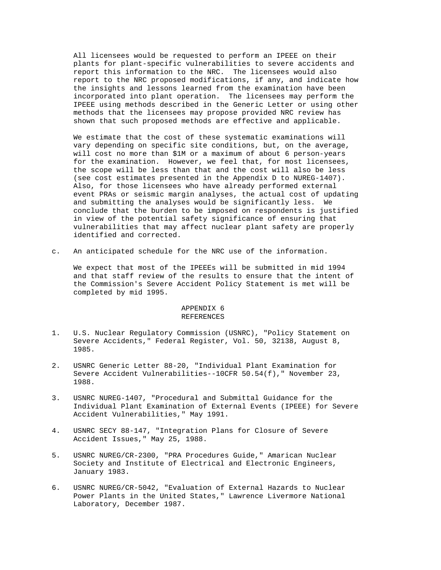All licensees would be requested to perform an IPEEE on their plants for plant-specific vulnerabilities to severe accidents and report this information to the NRC. The licensees would also report to the NRC proposed modifications, if any, and indicate how the insights and lessons learned from the examination have been incorporated into plant operation. The licensees may perform the IPEEE using methods described in the Generic Letter or using other methods that the licensees may propose provided NRC review has shown that such proposed methods are effective and applicable.

 We estimate that the cost of these systematic examinations will vary depending on specific site conditions, but, on the average, will cost no more than \$1M or a maximum of about 6 person-years for the examination. However, we feel that, for most licensees, the scope will be less than that and the cost will also be less (see cost estimates presented in the Appendix D to NUREG-1407). Also, for those licensees who have already performed external event PRAs or seismic margin analyses, the actual cost of updating and submitting the analyses would be significantly less. We conclude that the burden to be imposed on respondents is justified in view of the potential safety significance of ensuring that vulnerabilities that may affect nuclear plant safety are properly identified and corrected.

c. An anticipated schedule for the NRC use of the information.

 We expect that most of the IPEEEs will be submitted in mid 1994 and that staff review of the results to ensure that the intent of the Commission's Severe Accident Policy Statement is met will be completed by mid 1995.

## APPENDIX 6 REFERENCES

- 1. U.S. Nuclear Regulatory Commission (USNRC), "Policy Statement on Severe Accidents," Federal Register, Vol. 50, 32138, August 8, 1985.
- 2. USNRC Generic Letter 88-20, "Individual Plant Examination for Severe Accident Vulnerabilities--10CFR 50.54(f)," November 23, 1988.
- 3. USNRC NUREG-1407, "Procedural and Submittal Guidance for the Individual Plant Examination of External Events (IPEEE) for Severe Accident Vulnerabilities," May 1991.
- 4. USNRC SECY 88-147, "Integration Plans for Closure of Severe Accident Issues," May 25, 1988.
- 5. USNRC NUREG/CR-2300, "PRA Procedures Guide," Amarican Nuclear Society and Institute of Electrical and Electronic Engineers, January 1983.
- 6. USNRC NUREG/CR-5042, "Evaluation of External Hazards to Nuclear Power Plants in the United States," Lawrence Livermore National Laboratory, December 1987.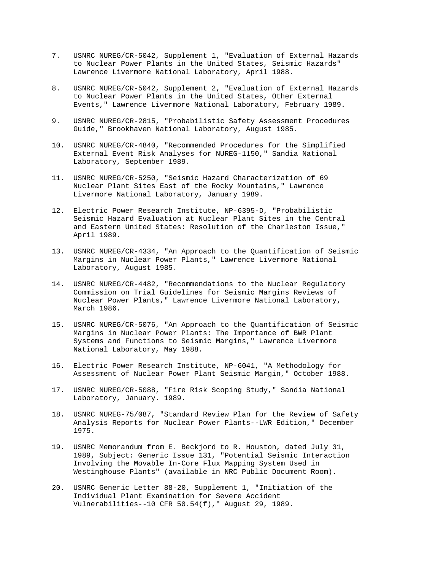- 7. USNRC NUREG/CR-5042, Supplement 1, "Evaluation of External Hazards to Nuclear Power Plants in the United States, Seismic Hazards" Lawrence Livermore National Laboratory, April 1988.
- 8. USNRC NUREG/CR-5042, Supplement 2, "Evaluation of External Hazards to Nuclear Power Plants in the United States, Other External Events," Lawrence Livermore National Laboratory, February 1989.
- 9. USNRC NUREG/CR-2815, "Probabilistic Safety Assessment Procedures Guide," Brookhaven National Laboratory, August 1985.
- 10. USNRC NUREG/CR-4840, "Recommended Procedures for the Simplified External Event Risk Analyses for NUREG-1150," Sandia National Laboratory, September 1989.
- 11. USNRC NUREG/CR-5250, "Seismic Hazard Characterization of 69 Nuclear Plant Sites East of the Rocky Mountains," Lawrence Livermore National Laboratory, January 1989.
- 12. Electric Power Research Institute, NP-6395-D, "Probabilistic Seismic Hazard Evaluation at Nuclear Plant Sites in the Central and Eastern United States: Resolution of the Charleston Issue," April 1989.
- 13. USNRC NUREG/CR-4334, "An Approach to the Quantification of Seismic Margins in Nuclear Power Plants," Lawrence Livermore National Laboratory, August 1985.
- 14. USNRC NUREG/CR-4482, "Recommendations to the Nuclear Regulatory Commission on Trial Guidelines for Seismic Margins Reviews of Nuclear Power Plants," Lawrence Livermore National Laboratory, March 1986.
- 15. USNRC NUREG/CR-5076, "An Approach to the Quantification of Seismic Margins in Nuclear Power Plants: The Importance of BWR Plant Systems and Functions to Seismic Margins," Lawrence Livermore National Laboratory, May 1988.
- 16. Electric Power Research Institute, NP-6041, "A Methodology for Assessment of Nuclear Power Plant Seismic Margin," October 1988.
- 17. USNRC NUREG/CR-5088, "Fire Risk Scoping Study," Sandia National Laboratory, January. 1989.
- 18. USNRC NUREG-75/087, "Standard Review Plan for the Review of Safety Analysis Reports for Nuclear Power Plants--LWR Edition," December 1975.
- 19. USNRC Memorandum from E. Beckjord to R. Houston, dated July 31, 1989, Subject: Generic Issue 131, "Potential Seismic Interaction Involving the Movable In-Core Flux Mapping System Used in Westinghouse Plants" (available in NRC Public Document Room).
- 20. USNRC Generic Letter 88-20, Supplement 1, "Initiation of the Individual Plant Examination for Severe Accident Vulnerabilities--10 CFR 50.54(f)," August 29, 1989.